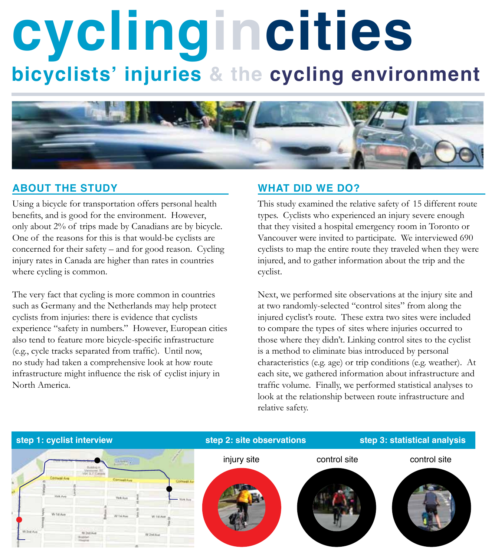# **cyclingincities bicyclists' injuries & the cycling environment**



## **About the study**

Using a bicycle for transportation offers personal health benefits, and is good for the environment. However, only about 2% of trips made by Canadians are by bicycle. One of the reasons for this is that would-be cyclists are concerned for their safety – and for good reason. Cycling injury rates in Canada are higher than rates in countries where cycling is common.

The very fact that cycling is more common in countries such as Germany and the Netherlands may help protect cyclists from injuries: there is evidence that cyclists experience "safety in numbers." However, European cities also tend to feature more bicycle-specific infrastructure (e.g., cycle tracks separated from traffic). Until now, no study had taken a comprehensive look at how route infrastructure might influence the risk of cyclist injury in North America.

### **What did we do?**

This study examined the relative safety of 15 different route types. Cyclists who experienced an injury severe enough that they visited a hospital emergency room in Toronto or Vancouver were invited to participate. We interviewed 690 cyclists to map the entire route they traveled when they were injured, and to gather information about the trip and the cyclist.

Next, we performed site observations at the injury site and at two randomly-selected "control sites" from along the injured cyclist's route. These extra two sites were included to compare the types of sites where injuries occurred to those where they didn't. Linking control sites to the cyclist is a method to eliminate bias introduced by personal characteristics (e.g. age) or trip conditions (e.g. weather). At each site, we gathered information about infrastructure and traffic volume. Finally, we performed statistical analyses to look at the relationship between route infrastructure and relative safety.

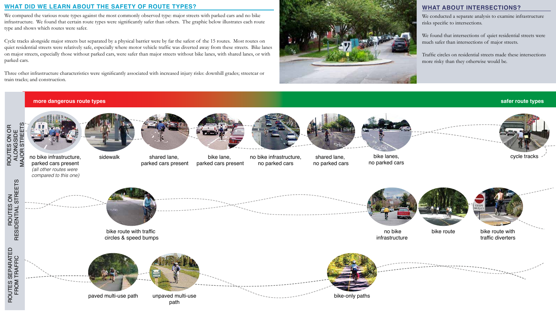## **What about intersections?**

We conducted a separate analysis to examine infrastructure risks specific to intersections.

We found that intersections of quiet residential streets were much safer than intersections of major streets.

Traffic circles on residential streets made these intersections more risky than they otherwise would be.

#### **What did we learn about the safety of route types?**

We compared the various route types against the most commonly observed type: major streets with parked cars and no bike infrastructure. We found that certain route types were significantly safer than others. The graphic below illustrates each route type and shows which routes were safer.

> bike lane, parked cars present sidewalk shared lane, bike lane, no bike infrastructure, shared lane, bike lanes, cycle tracks

Cycle tracks alongside major streets but separated by a physical barrier were by far the safest of the 15 routes. Most routes on quiet residential streets were relatively safe, especially where motor vehicle traffic was diverted away from these streets. Bike lanes on major streets, especially those without parked cars, were safer than major streets without bike lanes, with shared lanes, or with parked cars.

Three other infrastructure characteristics were significantly associated with increased injury risks: downhill grades; streetcar or train tracks; and construction.



#### **safer route types**





ROUTES ON RESIDENTIAL STREETS

ROUTES ON<br>RESIDENTIAL STREETS



shared lane, parked cars present no bike infrastructure, no parked cars

shared lane, no parked cars



bike lanes, no parked cars







#### **more dangerous route types**

no bike infrastructure, parked cars present *(all other routes were compared to this one)*



 no bike infrastructure

bike route with traffic circles & speed bumps



bike route with traffic diverters



bike route